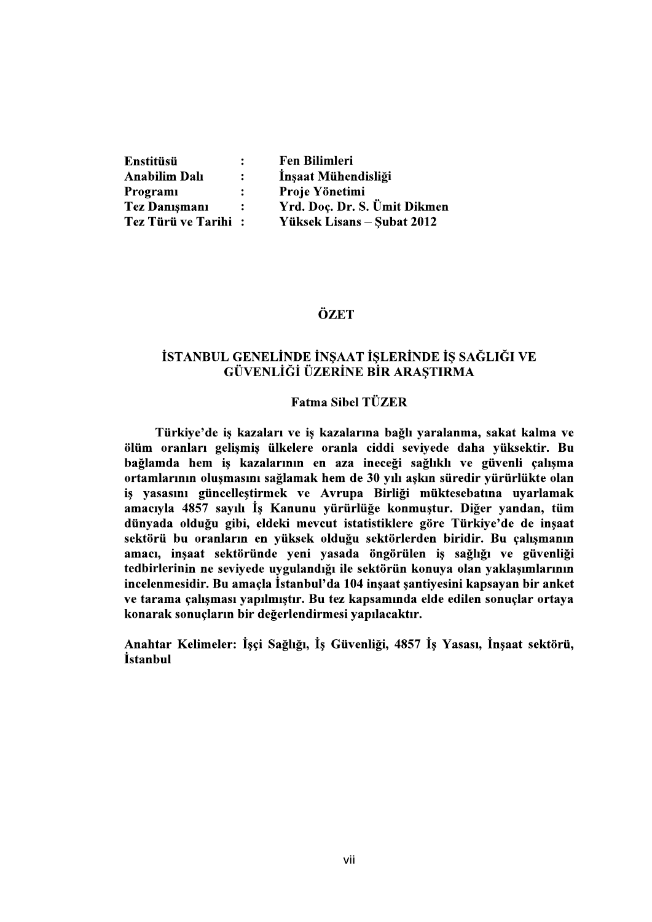| Enstitüsü            | $\ddot{\cdot}$       | <b>Fen Bilimleri</b>         |
|----------------------|----------------------|------------------------------|
| <b>Anabilim Dalı</b> | ÷                    | Insaat Mühendisliği          |
| Programi             | $\ddot{\phantom{a}}$ | Proje Yönetimi               |
| <b>Tez Danismani</b> | $\ddot{\cdot}$       | Yrd. Doç. Dr. S. Ümit Dikmen |
| Tez Türü ve Tarihi:  |                      | Yüksek Lisans – Şubat 2012   |

### ÖZET

# İSTANBUL GENELİNDE İNSAAT İSLERİNDE İS SAĞLIĞI VE GÜVENLİĞİ ÜZERİNE BİR ARAŞTIRMA

# **Fatma Sibel TÜZER**

Türkiye'de is kazaları ve is kazalarına bağlı yaralanma, sakat kalma ve ölüm oranları gelişmiş ülkelere oranla ciddi seviyede daha yüksektir. Bu bağlamda hem iş kazalarının en aza ineceği sağlıklı ve güvenli çalışma ortamlarının oluşmasını sağlamak hem de 30 yılı aşkın süredir yürürlükte olan iş yasasını güncelleştirmek ve Avrupa Birliği müktesebatına uyarlamak amacıyla 4857 sayılı İş Kanunu yürürlüğe konmuştur. Diğer yandan, tüm dünyada olduğu gibi, eldeki mevcut istatistiklere göre Türkiye'de de inşaat sektörü bu oranların en yüksek olduğu sektörlerden biridir. Bu çalışmanın amacı, inşaat sektöründe yeni yasada öngörülen iş sağlığı ve güvenliği tedbirlerinin ne seviyede uygulandığı ile sektörün konuya olan yaklaşımlarının incelenmesidir. Bu amaçla İstanbul'da 104 inşaat şantiyesini kapsayan bir anket ve tarama çalışması yapılmıştır. Bu tez kapsamında elde edilen sonuçlar ortaya konarak sonuçların bir değerlendirmesi yapılacaktır.

Anahtar Kelimeler: İşçi Sağlığı, İş Güvenliği, 4857 İş Yasası, İnsaat sektörü, *istanbul*